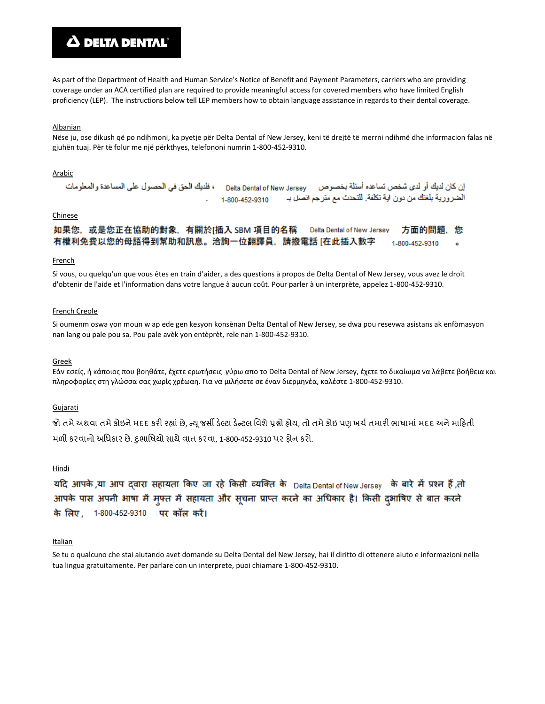# **A DELTA DENTAL**

As part of the Department of Health and Human Service's Notice of Benefit and Payment Parameters, carriers who are providing coverage under an ACA certified plan are required to provide meaningful access for covered members who have limited English proficiency (LEP). The instructions below tell LEP members how to obtain language assistance in regards to their dental coverage.

## Albanian

Nëse ju, ose dikush që po ndihmoni, ka pyetje për Delta Dental of New Jersey, keni të drejtë të merrni ndihmë dhe informacion falas në gjuhën tuaj. Për të folur me një përkthyes, telefononi numrin 1-800-452-9310.

#### Arabic

الضرورية بلغتك من دون اية تكلفة. للتحدث مع مترجم انصل بـ ا 1-800-452-9310

# Chinese

如果您,或是您正在協助的對象,有關於[插入 SBM 項目的名稱 Delta Dental of New Jersey 方面的問題,您 有權利免費以您的母語得到幫助和訊息。洽詢一位翻譯員,請撥電話 [在此插入數字 1-800-452-9310  $\ddot{\phantom{a}}$ 

#### French

Si vous, ou quelqu'un que vous êtes en train d'aider, a des questions à propos de Delta Dental of New Jersey, vous avez le droit d'obtenir de l'aide et l'information dans votre langue à aucun coût. Pour parler à un interprète, appelez 1-800-452-9310.

#### French Creole

Si oumenm oswa yon moun w ap ede gen kesyon konsènan Delta Dental of New Jersey, se dwa pou resevwa asistans ak enfòmasyon nan lang ou pale pou sa. Pou pale avèk yon entèprèt, rele nan 1-800-452-9310.

## Greek

Εάν εσείς, ή κάποιος που βοηθάτε, έχετε ερωτήσεις γύρω απο το Delta Dental of New Jersey, έχετε το δικαίωμα να λάβετε βοήθεια και πληροφορίες στη γλώσσα σας χωρίς χρέωαη. Για να μιλήσετε σε έναν διερμηνέα, καλέστε 1-800-452-9310.

#### Gujarati

જો તમે અથવા તમે કોઇને મદદ કરી રહ્યાં છે, ન્યુ જર્સી ડેલ્ટા ડેન્ટલ વિશે પ્રશ્નો હોય, તો તમે કોઇ પણ ખર્ચ તમારી ભાષામાં મદદ અને માહિતી મળી કરવાનો અધિકાર છે. દુભાષિયો સાથે વાત કરવા, 1-800-452-9310 પર ફોન કરો.

## Hindi

यदि आपके,या आप दवारा सहायता किए जा रहे किसी व्यक्ति के Delta Dental of New Jersey के बारे में प्रश्न हैं,तो आपके पास अपनी भाषा में मुफ्त में सहायता और सूचना प्राप्त करने का अधिकार है। किसी दुभाषिए से बात करने के लिए, 1-800-452-9310 | पर कॉल करें।

#### Italian

Se tu o qualcuno che stai aiutando avet domande su Delta Dental del New Jersey, hai il diritto di ottenere aiuto e informazioni nella tua lingua gratuitamente. Per parlare con un interprete, puoi chiamare 1-800-452-9310.